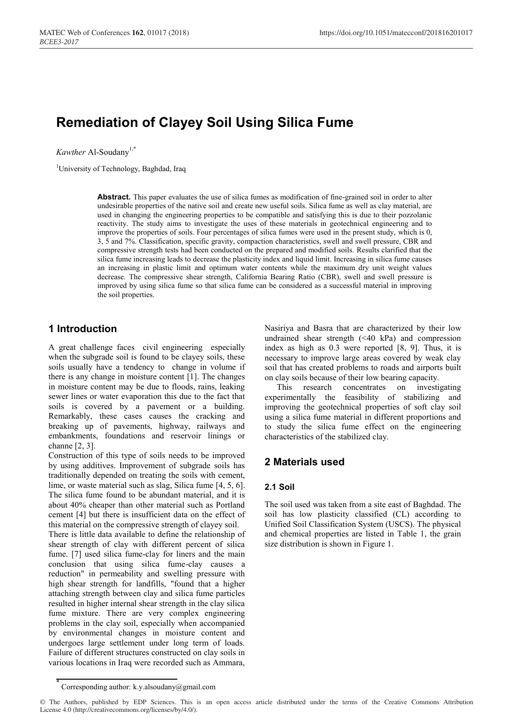# **Remediation of Clayey Soil Using Silica Fume**

*Kawther* Al-Soudany<sup>1,\*</sup>

<sup>1</sup>University of Technology, Baghdad, Iraq

**Abstract.** This paper evaluates the use of silica fumes as modification of fine-grained soil in order to alter undesirable properties of the native soil and create new useful soils. Silica fume as well as clay material, are used in changing the engineering properties to be compatible and satisfying this is due to their pozzolanic reactivity. The study aims to investigate the uses of these materials in geotechnical engineering and to improve the properties of soils. Four percentages of silica fumes were used in the present study, which is 0, 3, 5 and 7%. Classification, specific gravity, compaction characteristics, swell and swell pressure, CBR and compressive strength tests had been conducted on the prepared and modified soils. Results clarified that the silica fume increasing leads to decrease the plasticity index and liquid limit. Increasing in silica fume causes an increasing in plastic limit and optimum water contents while the maximum dry unit weight values decrease. The compressive shear strength, California Bearing Ratio (CBR), swell and swell pressure is improved by using silica fume so that silica fume can be considered as a successful material in improving the soil properties.

# **1 Introduction**

A great challenge faces civil engineering especially when the subgrade soil is found to be clayey soils, these soils usually have a tendency to change in volume if there is any change in moisture content [1]. The changes in moisture content may be due to floods, rains, leaking sewer lines or water evaporation this due to the fact that soils is covered by a pavement or a building. Remarkably, these cases causes the cracking and breaking up of pavements, highway, railways and embankments, foundations and reservoir linings or channe [2, 3].

Construction of this type of soils needs to be improved by using additives. Improvement of subgrade soils has traditionally depended on treating the soils with cement, lime, or waste material such as slag, Silica fume [4, 5, 6]. The silica fume found to be abundant material, and it is about 40% cheaper than other material such as Portland cement [4] but there is insufficient data on the effect of this material on the compressive strength of clayey soil. There is little data available to define the relationship of shear strength of clay with different percent of silica fume. [7] used silica fume-clay for liners and the main conclusion that using silica fume-clay causes a reduction" in permeability and swelling pressure with high shear strength for landfills, "found that a higher attaching strength between clay and silica fume particles resulted in higher internal shear strength in the clay silica fume mixture. There are very complex engineering problems in the clay soil, especially when accompanied

Nasiriya and Basra that are characterized by their low undrained shear strength (˂40 kPa) and compression index as high as 0.3 were reported [8, 9]. Thus, it is necessary to improve large areas covered by weak clay soil that has created problems to roads and airports built on clay soils because of their low bearing capacity.

This research concentrates on investigating experimentally the feasibility of stabilizing and improving the geotechnical properties of soft clay soil using a silica fume material in different proportions and to study the silica fume effect on the engineering characteristics of the stabilized clay.

# **2 Materials used**

## **2.1 Soil**

The soil used was taken from a site east of Baghdad. The soil has low plasticity classified (CL) according to Unified Soil Classification System (USCS). The physical and chemical properties are listed in Table 1, the grain size distribution is shown in Figure 1.

by environmental changes in moisture content and undergoes large settlement under long term of loads. Failure of different structures constructed on clay soils in various locations in Iraq were recorded such as Ammara,

Corresponding author: k.y.alsoudany@gmail.com

<sup>©</sup> The Authors, published by EDP Sciences. This is an open access article distributed under the terms of the Creative Commons Attribution License 4.0 (http://creativecommons.org/licenses/by/4.0/).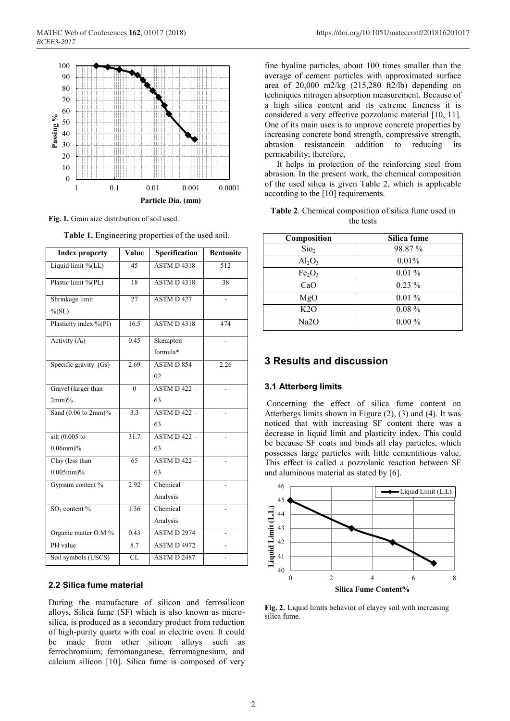

**Fig. 1.** Grain size distribution of soil used.

| <b>Index property</b>  | Value                  | Specification      | <b>Bentonite</b> |
|------------------------|------------------------|--------------------|------------------|
| Liquid limit %(LL)     | 45                     | <b>ASTMD4318</b>   | 512              |
| Plastic limit %(PL)    | 18                     | <b>ASTM D 4318</b> | 38               |
| Shrinkage limit        | 27                     | <b>ASTMD427</b>    |                  |
| $\%$ (SL)              |                        |                    |                  |
| Plasticity index %(PI) | 16.5                   | <b>ASTM D 4318</b> | 474              |
| Activity $(A_t)$       | 0.45                   | Skempton           |                  |
|                        |                        | formula*           |                  |
| Specific gravity (Gs)  | 2.69                   | $ASTM D 854 -$     | 2.26             |
|                        |                        | 02                 |                  |
| Gravel (larger than    | $\theta$               | $ASTM D 422 -$     |                  |
| $2mm\%$                |                        | 63                 |                  |
| Sand (0.06 to 2mm)%    | 3.3                    | $ASTM D 422 -$     |                  |
|                        |                        | 63                 |                  |
| silt $(0.005$ to       | 31.7                   | $ASTM D 422 -$     |                  |
| $0.06$ mm $)\%$        |                        | 63                 |                  |
| Clay (less than        | 65                     | $ASTM D 422 -$     |                  |
| $0.005$ mm $)\%$       |                        | 63                 |                  |
| Gypsum content %       | 2.92                   | Chemical           |                  |
|                        |                        | Analysis           |                  |
| $SO3$ content %        | 1.36                   | Chemical           |                  |
|                        |                        | Analysis           |                  |
| Organic matter O.M %   | 0.43                   | <b>ASTM D 2974</b> |                  |
| PH value               | 8.7                    | <b>ASTM D 4972</b> |                  |
| Soil symbols (USCS)    | $\overline{\text{CL}}$ | <b>ASTM D 2487</b> |                  |

**Table 1.** Engineering properties of the used soil.

## **2.2 Silica fume material**

During the manufacture of silicon and ferrosilicon alloys, Silica fume (SF) which is also known as microsilica, is produced as a secondary product from reduction of high-purity quartz with coal in electric oven. It could be made from other silicon alloys such as ferrochromium, ferromanganese, ferromagnesium, and calcium silicon [10]. Silica fume is composed of very

fine hyaline particles, about 100 times smaller than the average of cement particles with approximated surface area of 20,000 m2/kg (215,280 ft2/lb) depending on techniques nitrogen absorption measurement. Because of a high silica content and its extreme fineness it is considered a very effective pozzolanic material [10, 11]. One of its main uses is to improve concrete properties by increasing concrete bond strength, compressive strength, abrasion resistancein addition to reducing its permeability; therefore,

It helps in protection of the reinforcing steel from abrasion. In the present work, the chemical composition of the used silica is given Table 2, which is applicable according to the [10] requirements.

| Table 2. Chemical composition of silica fume used in |           |  |  |
|------------------------------------------------------|-----------|--|--|
|                                                      | the tests |  |  |

| Composition                    | Silica fume |  |
|--------------------------------|-------------|--|
| Sio <sub>2</sub>               | 98.87%      |  |
| $Al_2O_3$                      | 0.01%       |  |
| Fe <sub>2</sub> O <sub>3</sub> | $0.01\%$    |  |
| CaO                            | $0.23\%$    |  |
| MgO                            | $0.01\%$    |  |
| K2O                            | $0.08 \%$   |  |
| Na <sub>2</sub> O              | $0.00\%$    |  |

# **3 Results and discussion**

#### **3.1 Atterberg limits**

Concerning the effect of silica fume content on Atterbergs limits shown in Figure (2), (3) and (4). It was noticed that with increasing SF content there was a decrease in liquid limit and plasticity index. This could be because SF coats and binds all clay particles, which possesses large particles with little cementitious value. This effect is called a pozzolanic reaction between SF and aluminous material as stated by [6].



**Fig. 2.** Liquid limits behavior of clayey soil with increasing silica fume.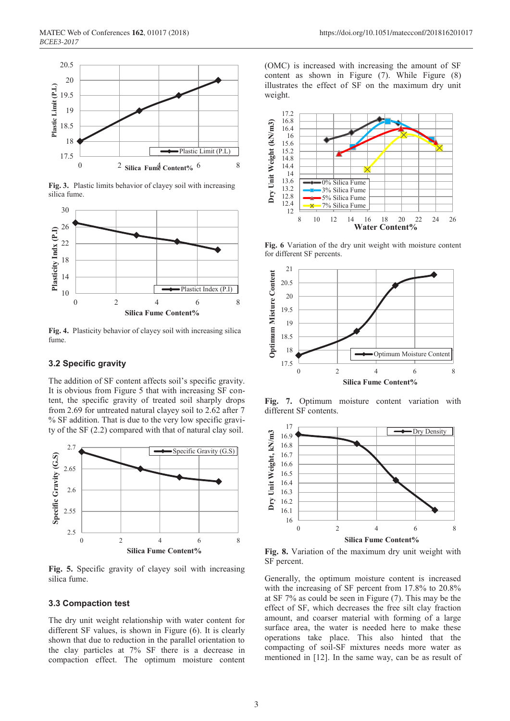

**Fig. 3.** Plastic limits behavior of clayey soil with increasing silica fume.



**Fig. 4.** Plasticity behavior of clayey soil with increasing silica fume.

## **3.2 Specific gravity**

The addition of SF content affects soil's specific gravity. It is obvious from Figure 5 that with increasing SF content, the specific gravity of treated soil sharply drops from 2.69 for untreated natural clayey soil to 2.62 after 7 % SF addition. That is due to the very low specific gravity of the SF (2.2) compared with that of natural clay soil.



**Fig. 5.** Specific gravity of clayey soil with increasing silica fume.

## **3.3 Compaction test**

The dry unit weight relationship with water content for different SF values, is shown in Figure (6). It is clearly shown that due to reduction in the parallel orientation to the clay particles at 7% SF there is a decrease in compaction effect. The optimum moisture content (OMC) is increased with increasing the amount of SF content as shown in Figure (7). While Figure (8) illustrates the effect of SF on the maximum dry unit weight.



**Fig. 6** Variation of the dry unit weight with moisture content for different SF percents.



**Fig. 7.** Optimum moisture content variation with different SF contents.



**Fig. 8.** Variation of the maximum dry unit weight with SF percent.

Generally, the optimum moisture content is increased with the increasing of SF percent from 17.8% to 20.8% at SF 7% as could be seen in Figure (7). This may be the effect of SF, which decreases the free silt clay fraction amount, and coarser material with forming of a large surface area, the water is needed here to make these operations take place. This also hinted that the compacting of soil-SF mixtures needs more water as mentioned in [12]. In the same way, can be as result of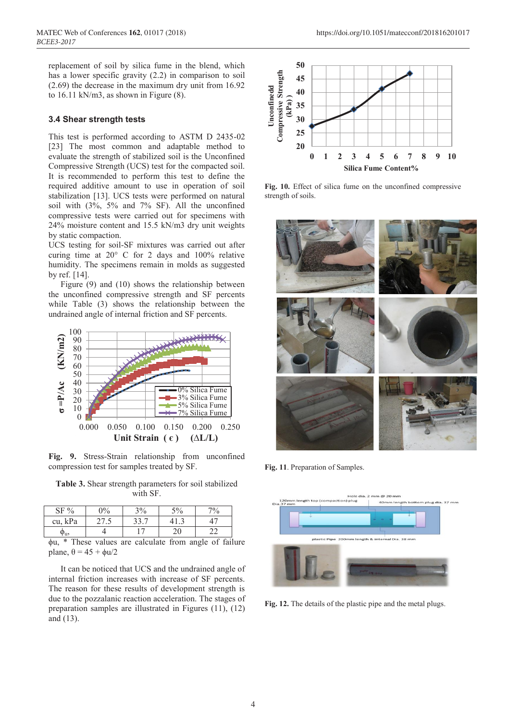replacement of soil by silica fume in the blend, which has a lower specific gravity (2.2) in comparison to soil (2.69) the decrease in the maximum dry unit from 16.92 to 16.11 kN/m3, as shown in Figure (8).

#### **3.4 Shear strength tests**

This test is performed according to ASTM D 2435-02 [23] The most common and adaptable method to evaluate the strength of stabilized soil is the Unconfined Compressive Strength (UCS) test for the compacted soil. It is recommended to perform this test to define the required additive amount to use in operation of soil stabilization [13]. UCS tests were performed on natural soil with (3%, 5% and 7% SF). All the unconfined compressive tests were carried out for specimens with 24% moisture content and 15.5 kN/m3 dry unit weights by static compaction.

UCS testing for soil-SF mixtures was carried out after curing time at 20° C for 2 days and 100% relative humidity. The specimens remain in molds as suggested by ref. [14].

Figure (9) and (10) shows the relationship between the unconfined compressive strength and SF percents while Table (3) shows the relationship between the undrained angle of internal friction and SF percents.



**Fig. 9.** Stress-Strain relationship from unconfined compression test for samples treated by SF.

**Table 3.** Shear strength parameters for soil stabilized with SF.

| $SF\%$  | $\frac{10}{6}$ | 3%   | $5\%$    | $7\%$ |
|---------|----------------|------|----------|-------|
| cu, kPa |                | רי ר |          |       |
| 'u,     |                | ⇁    | Ιſ<br>∠∪ |       |

ϕu, \* These values are calculate from angle of failure plane,  $\theta = 45 + \phi u/2$ 

It can be noticed that UCS and the undrained angle of internal friction increases with increase of SF percents. The reason for these results of development strength is due to the pozzalanic reaction acceleration. The stages of preparation samples are illustrated in Figures (11), (12) and (13).



**Fig. 10.** Effect of silica fume on the unconfined compressive strength of soils.



**Fig. 11**. Preparation of Samples.



**Fig. 12.** The details of the plastic pipe and the metal plugs.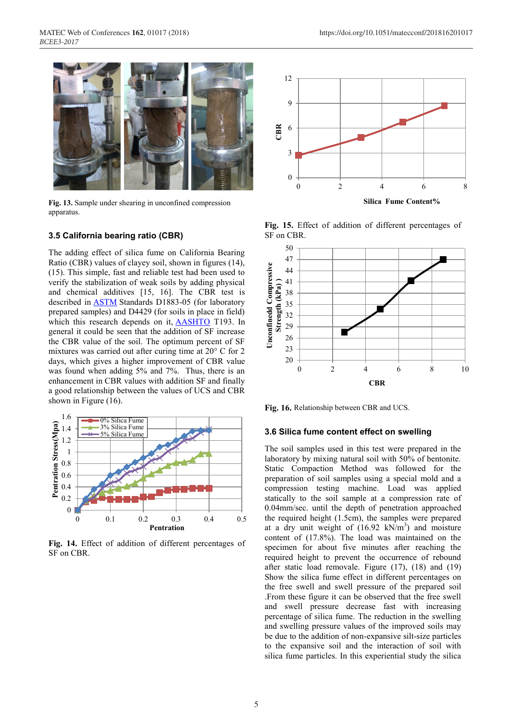

**Fig. 13.** Sample under shearing in unconfined compression apparatus.

#### **3.5 California bearing ratio (CBR)**

The adding effect of silica fume on California Bearing Ratio (CBR) values of clayey soil, shown in figures (14), (15). This simple, fast and reliable test had been used to verify the stabilization of weak soils by adding physical and chemical additives [15, 16]. The CBR test is described in ASTM Standards D1883-05 (for laboratory prepared samples) and D4429 (for soils in place in field) which this research depends on it, AASHTO T193. In general it could be seen that the addition of SF increase the CBR value of the soil. The optimum percent of SF mixtures was carried out after curing time at 20° C for 2 days, which gives a higher improvement of CBR value was found when adding 5% and 7%. Thus, there is an enhancement in CBR values with addition SF and finally a good relationship between the values of UCS and CBR shown in Figure (16).



**Fig. 14.** Effect of addition of different percentages of SF on CBR.



**Fig. 15.** Effect of addition of different percentages of SF on CBR.



**Fig. 16.** Relationship between CBR and UCS.

#### **3.6 Silica fume content effect on swelling**

The soil samples used in this test were prepared in the laboratory by mixing natural soil with 50% of bentonite. Static Compaction Method was followed for the preparation of soil samples using a special mold and a compression testing machine. Load was applied statically to the soil sample at a compression rate of 0.04mm/sec. until the depth of penetration approached the required height (1.5cm), the samples were prepared at a dry unit weight of  $(16.92 \text{ kN/m}^3)$  and moisture content of (17.8%). The load was maintained on the specimen for about five minutes after reaching the required height to prevent the occurrence of rebound after static load removale. Figure (17), (18) and (19) Show the silica fume effect in different percentages on the free swell and swell pressure of the prepared soil .From these figure it can be observed that the free swell and swell pressure decrease fast with increasing percentage of silica fume. The reduction in the swelling and swelling pressure values of the improved soils may be due to the addition of non-expansive silt-size particles to the expansive soil and the interaction of soil with silica fume particles. In this experiential study the silica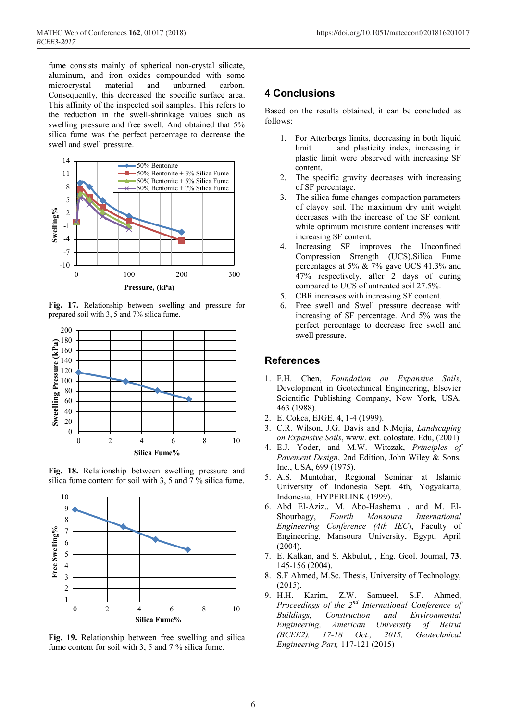fume consists mainly of spherical non-crystal silicate, aluminum, and iron oxides compounded with some microcrystal material and unburned carbon. Consequently, this decreased the specific surface area. This affinity of the inspected soil samples. This refers to the reduction in the swell-shrinkage values such as swelling pressure and free swell. And obtained that 5% silica fume was the perfect percentage to decrease the swell and swell pressure.



**Fig. 17.** Relationship between swelling and pressure for prepared soil with 3, 5 and 7% silica fume.



**Fig. 18.** Relationship between swelling pressure and silica fume content for soil with 3, 5 and 7 % silica fume.



**Fig. 19.** Relationship between free swelling and silica fume content for soil with 3, 5 and 7 % silica fume.

# **4 Conclusions**

Based on the results obtained, it can be concluded as follows:

- 1. For Atterbergs limits, decreasing in both liquid limit and plasticity index, increasing in plastic limit were observed with increasing SF content.
- 2. The specific gravity decreases with increasing of SF percentage.
- 3. The silica fume changes compaction parameters of clayey soil. The maximum dry unit weight decreases with the increase of the SF content, while optimum moisture content increases with increasing SF content.
- 4. Increasing SF improves the Unconfined Compression Strength (UCS).Silica Fume percentages at 5% & 7% gave UCS 41.3% and 47% respectively, after 2 days of curing compared to UCS of untreated soil 27.5%.
- 5. CBR increases with increasing SF content.
- 6. Free swell and Swell pressure decrease with increasing of SF percentage. And 5% was the perfect percentage to decrease free swell and swell pressure.

## **References**

- 1. F.H. Chen, *Foundation on Expansive Soils*, Development in Geotechnical Engineering, Elsevier Scientific Publishing Company, New York, USA, 463 (1988).
- 2. E. Cokca, EJGE. **4**, 1-4 (1999).
- 3. C.R. Wilson, J.G. Davis and N.Mejia, *Landscaping on Expansive Soils*, www. ext. colostate. Edu, (2001)
- 4. E.J. Yoder, and M.W. Witczak, *Principles of Pavement Design*, 2nd Edition, John Wiley & Sons, Inc., USA, 699 (1975).
- 5. A.S. Muntohar, Regional Seminar at Islamic University of Indonesia Sept. 4th, Yogyakarta, Indonesia, HYPERLINK (1999).
- 6. Abd El-Aziz., M. Abo-Hashema , and M. El-Shourbagy, *Fourth Mansoura International Engineering Conference (4th IEC*), Faculty of Engineering, Mansoura University, Egypt, April (2004).
- 7. E. Kalkan, and S. Akbulut, , Eng. Geol. Journal, **73**, 145-156 (2004).
- 8. S.F Ahmed, M.Sc. Thesis, University of Technology, (2015).
- 9. H.H. Karim, Z.W. Samueel, S.F. Ahmed, *Proceedings of the 2nd International Conference of Buildings, Construction and Environmental Engineering, American University of Beirut (BCEE2), 17-18 Oct., 2015, Geotechnical Engineering Part,* 117-121 (2015)